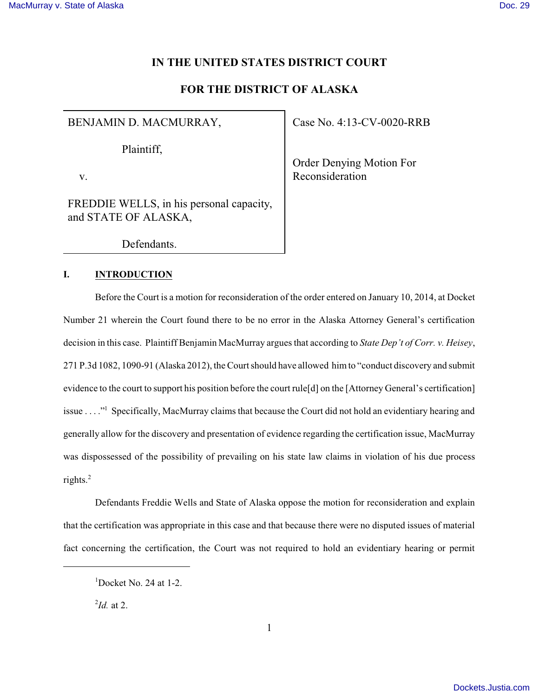# **IN THE UNITED STATES DISTRICT COURT**

# **FOR THE DISTRICT OF ALASKA**

## BENJAMIN D. MACMURRAY,

Plaintiff,

v.

FREDDIE WELLS, in his personal capacity, and STATE OF ALASKA,

Defendants.

#### **I. INTRODUCTION**

Before the Court is a motion for reconsideration of the order entered on January 10, 2014, at Docket Number 21 wherein the Court found there to be no error in the Alaska Attorney General's certification decision in this case. Plaintiff Benjamin MacMurray argues that according to *State Dep't of Corr. v. Heisey*, 271 P.3d 1082, 1090-91 (Alaska 2012), the Court should have allowed him to "conduct discovery and submit evidence to the court to support his position before the court rule[d] on the [Attorney General's certification] issue . . . ." Specifically, MacMurray claims that because the Court did not hold an evidentiary hearing and <sup>1</sup> generally allow for the discovery and presentation of evidence regarding the certification issue, MacMurray was dispossessed of the possibility of prevailing on his state law claims in violation of his due process rights.<sup>2</sup>

Defendants Freddie Wells and State of Alaska oppose the motion for reconsideration and explain that the certification was appropriate in this case and that because there were no disputed issues of material fact concerning the certification, the Court was not required to hold an evidentiary hearing or permit

 $\mu^2$ *Id.* at 2.

Order Denying Motion For Reconsideration

 $1$ Docket No. 24 at 1-2.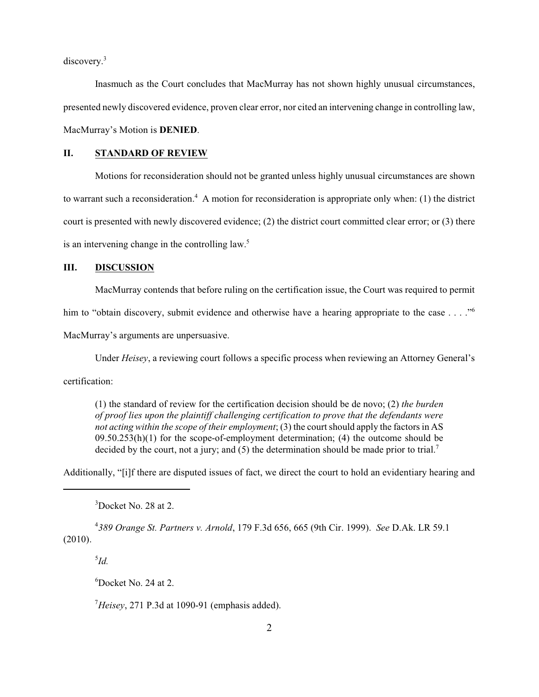discovery.<sup>3</sup>

Inasmuch as the Court concludes that MacMurray has not shown highly unusual circumstances, presented newly discovered evidence, proven clear error, nor cited an intervening change in controlling law, MacMurray's Motion is **DENIED**.

#### **II. STANDARD OF REVIEW**

Motions for reconsideration should not be granted unless highly unusual circumstances are shown to warrant such a reconsideration.<sup>4</sup> A motion for reconsideration is appropriate only when: (1) the district court is presented with newly discovered evidence; (2) the district court committed clear error; or (3) there is an intervening change in the controlling law.<sup>5</sup>

### **III. DISCUSSION**

MacMurray contends that before ruling on the certification issue, the Court was required to permit

him to "obtain discovery, submit evidence and otherwise have a hearing appropriate to the case . . . ."

MacMurray's arguments are unpersuasive.

Under *Heisey*, a reviewing court follows a specific process when reviewing an Attorney General's

certification:

(1) the standard of review for the certification decision should be de novo; (2) *the burden of proof lies upon the plaintiff challenging certification to prove that the defendants were not acting within the scope of their employment*; (3) the court should apply the factors in AS  $09.50.253(h)(1)$  for the scope-of-employment determination; (4) the outcome should be decided by the court, not a jury; and  $(5)$  the determination should be made prior to trial.<sup>7</sup>

Additionally, "[i]f there are disputed issues of fact, we direct the court to hold an evidentiary hearing and

 $3$ Docket No. 28 at 2.

*389 Orange St. Partners v. Arnold*, 179 F.3d 656, 665 (9th Cir. 1999). *See* D.Ak. LR 59.1 <sup>4</sup> (2010).

 $^{5}$ *Id.* 

 ${}^{6}$ Docket No. 24 at 2.

 $<sup>7</sup>Heisey$ , 271 P.3d at 1090-91 (emphasis added).</sup>